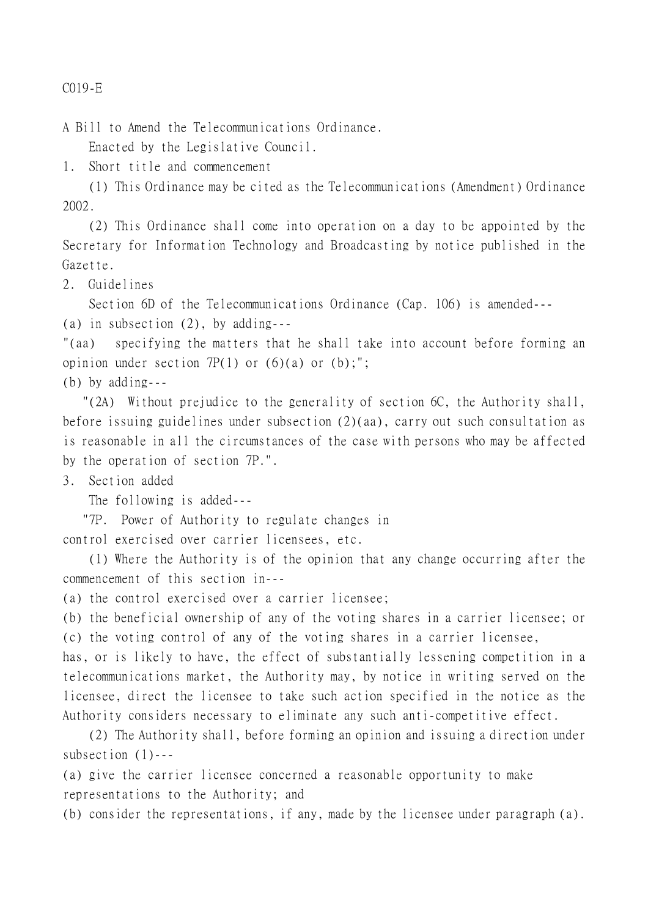C019-E

A Bill to Amend the Telecommunications Ordinance.

Enacted by the Legislative Council.

1. Short title and commencement

(1) This Ordinance may be cited as the Telecommunications (Amendment) Ordinance 2002.

(2) This Ordinance shall come into operation on a day to be appointed by the Secretary for Information Technology and Broadcasting by notice published in the Gazette.

2. Guidelines

Section 6D of the Telecommunications Ordinance (Cap. 106) is amended---

(a) in subsection (2), by adding---

"(aa) specifying the matters that he shall take into account before forming an opinion under section  $7P(1)$  or  $(6)(a)$  or  $(b)$ ;";

(b) by adding---

 "(2A) Without prejudice to the generality of section 6C, the Authority shall, before issuing guidelines under subsection (2)(aa), carry out such consultation as is reasonable in all the circumstances of the case with persons who may be affected by the operation of section 7P.".

3. Section added

The following is added---

 "7P. Power of Authority to regulate changes in control exercised over carrier licensees, etc.

(1) Where the Authority is of the opinion that any change occurring after the commencement of this section in---

(a) the control exercised over a carrier licensee;

(b) the beneficial ownership of any of the voting shares in a carrier licensee; or (c) the voting control of any of the voting shares in a carrier licensee,

has, or is likely to have, the effect of substantially lessening competition in a telecommunications market, the Authority may, by notice in writing served on the licensee, direct the licensee to take such action specified in the notice as the Authority considers necessary to eliminate any such anti-competitive effect.

(2) The Authority shall, before forming an opinion and issuing a direction under subsection (1)---

(a) give the carrier licensee concerned a reasonable opportunity to make representations to the Authority; and

(b) consider the representations, if any, made by the licensee under paragraph (a).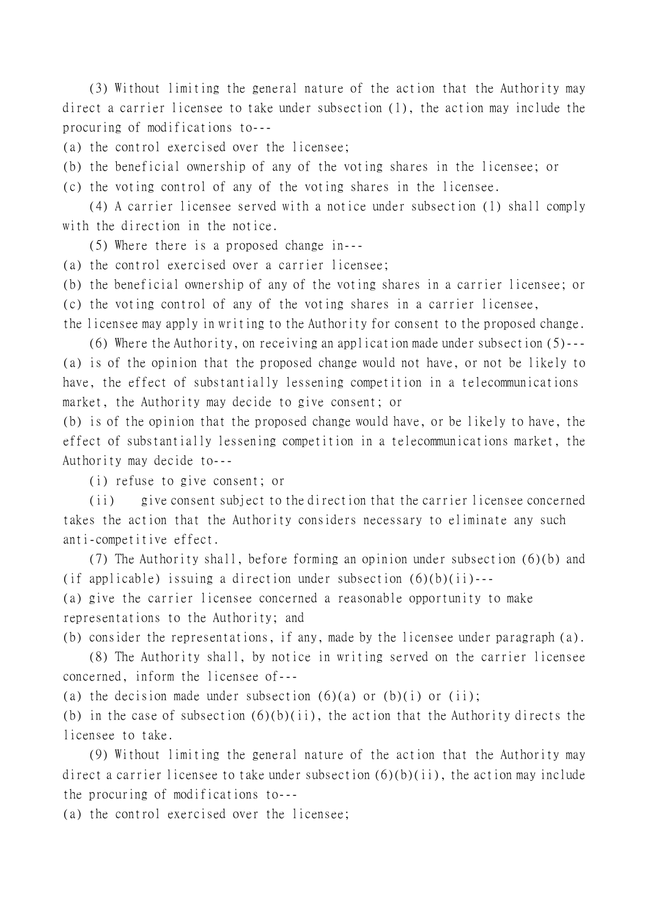(3) Without limiting the general nature of the action that the Authority may direct a carrier licensee to take under subsection (1), the action may include the procuring of modifications to---

(a) the control exercised over the licensee;

(b) the beneficial ownership of any of the voting shares in the licensee; or

(c) the voting control of any of the voting shares in the licensee.

(4) A carrier licensee served with a notice under subsection (1) shall comply with the direction in the notice.

(5) Where there is a proposed change in---

(a) the control exercised over a carrier licensee;

(b) the beneficial ownership of any of the voting shares in a carrier licensee; or

(c) the voting control of any of the voting shares in a carrier licensee,

the licensee may apply in writing to the Authority for consent to the proposed change.

(6) Where the Authority, on receiving an application made under subsection (5)--- (a) is of the opinion that the proposed change would not have, or not be likely to have, the effect of substantially lessening competition in a telecommunications market, the Authority may decide to give consent; or

(b) is of the opinion that the proposed change would have, or be likely to have, the effect of substantially lessening competition in a telecommunications market, the Authority may decide to---

(i) refuse to give consent; or

(ii) give consent subject to the direction that the carrier licensee concerned takes the action that the Authority considers necessary to eliminate any such anti-competitive effect.

(7) The Authority shall, before forming an opinion under subsection (6)(b) and (if applicable) issuing a direction under subsection  $(6)(b)(ii)$ ---

(a) give the carrier licensee concerned a reasonable opportunity to make representations to the Authority; and

(b) consider the representations, if any, made by the licensee under paragraph (a).

(8) The Authority shall, by notice in writing served on the carrier licensee concerned, inform the licensee of---

(a) the decision made under subsection  $(6)(a)$  or  $(b)(i)$  or  $(ii)$ ;

(b) in the case of subsection  $(6)(b)(ii)$ , the action that the Authority directs the licensee to take.

(9) Without limiting the general nature of the action that the Authority may direct a carrier licensee to take under subsection  $(6)(b)(ii)$ , the action may include the procuring of modifications to---

(a) the control exercised over the licensee;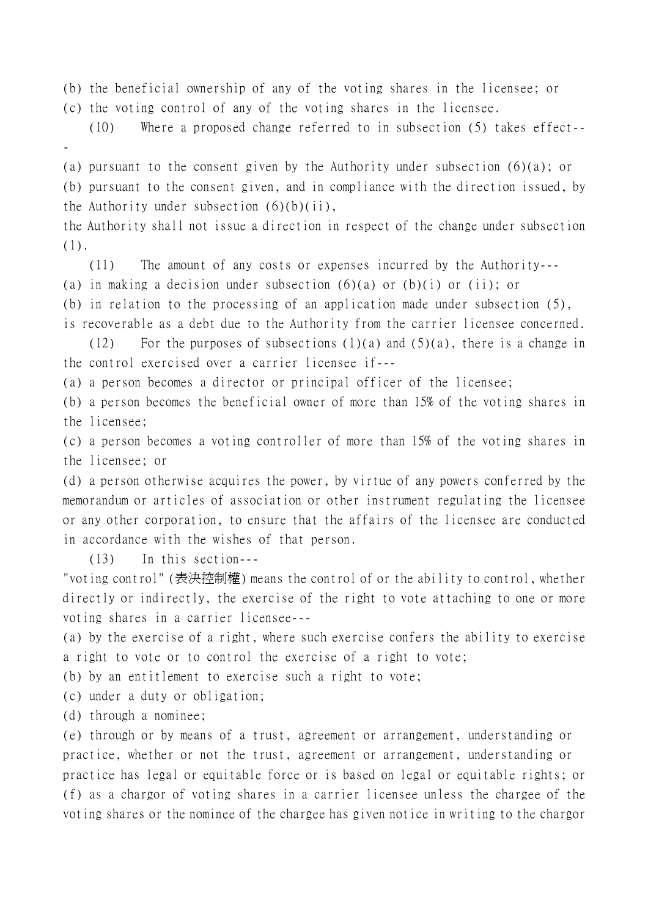(b) the beneficial ownership of any of the voting shares in the licensee; or

(c) the voting control of any of the voting shares in the licensee.

(10) Where a proposed change referred to in subsection (5) takes effect--

(a) pursuant to the consent given by the Authority under subsection (6)(a); or (b) pursuant to the consent given, and in compliance with the direction issued, by the Authority under subsection  $(6)(b)(ii)$ ,

the Authority shall not issue a direction in respect of the change under subsection (1).

(11) The amount of any costs or expenses incurred by the Authority---

(a) in making a decision under subsection  $(6)(a)$  or  $(b)(i)$  or (ii); or

(b) in relation to the processing of an application made under subsection (5),

is recoverable as a debt due to the Authority from the carrier licensee concerned.

(12) For the purposes of subsections  $(1)(a)$  and  $(5)(a)$ , there is a change in the control exercised over a carrier licensee if---

(a) a person becomes a director or principal officer of the licensee;

(b) a person becomes the beneficial owner of more than 15% of the voting shares in the licensee;

(c) a person becomes a voting controller of more than 15% of the voting shares in the licensee; or

(d) a person otherwise acquires the power, by virtue of any powers conferred by the memorandum or articles of association or other instrument regulating the licensee or any other corporation, to ensure that the affairs of the licensee are conducted in accordance with the wishes of that person.

(13) In this section---

"voting control" (表決控制權) means the control of or the ability to control, whether directly or indirectly, the exercise of the right to vote attaching to one or more voting shares in a carrier licensee---

(a) by the exercise of a right, where such exercise confers the ability to exercise a right to vote or to control the exercise of a right to vote;

(b) by an entitlement to exercise such a right to vote;

(c) under a duty or obligation;

(d) through a nominee;

-

(e) through or by means of a trust, agreement or arrangement, understanding or practice, whether or not the trust, agreement or arrangement, understanding or practice has legal or equitable force or is based on legal or equitable rights; or (f) as a chargor of voting shares in a carrier licensee unless the chargee of the voting shares or the nominee of the chargee has given notice in writing to the chargor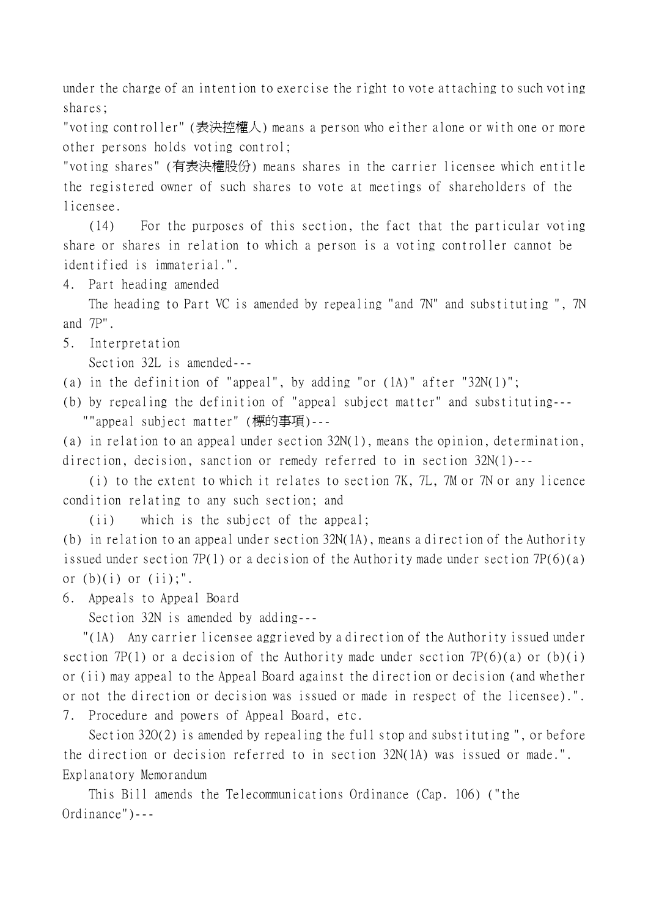under the charge of an intention to exercise the right to vote attaching to such voting shares;

"voting controller" (表決控權㆟) means a person who either alone or with one or more other persons holds voting control;

"voting shares" (有表決權股份) means shares in the carrier licensee which entitle the registered owner of such shares to vote at meetings of shareholders of the licensee.

(14) For the purposes of this section, the fact that the particular voting share or shares in relation to which a person is a voting controller cannot be identified is immaterial.".

4. Part heading amended

The heading to Part VC is amended by repealing "and 7N" and substituting ", 7N and 7P".

5. Interpretation

Section 32L is amended---

(a) in the definition of "appeal", by adding "or (1A)" after "32N(1)";

(b) by repealing the definition of "appeal subject matter" and substituting--- ""appeal subject matter" (標的事項)---

(a) in relation to an appeal under section 32N(1), means the opinion, determination, direction, decision, sanction or remedy referred to in section 32N(1)---

(i) to the extent to which it relates to section 7K, 7L, 7M or 7N or any licence condition relating to any such section; and

(ii) which is the subject of the appeal;

(b) in relation to an appeal under section 32N(1A), means a direction of the Authority issued under section 7P(1) or a decision of the Authority made under section 7P(6)(a) or  $(b)(i)$  or  $(ii)$ ;".

6. Appeals to Appeal Board

Section 32N is amended by adding---

 "(1A) Any carrier licensee aggrieved by a direction of the Authority issued under section 7P(1) or a decision of the Authority made under section 7P(6)(a) or (b)(i) or (ii) may appeal to the Appeal Board against the direction or decision (and whether or not the direction or decision was issued or made in respect of the licensee).". 7. Procedure and powers of Appeal Board, etc.

Section 32O(2) is amended by repealing the full stop and substituting ", or before the direction or decision referred to in section 32N(1A) was issued or made.". Explanatory Memorandum

This Bill amends the Telecommunications Ordinance (Cap. 106) ("the Ordinance")---